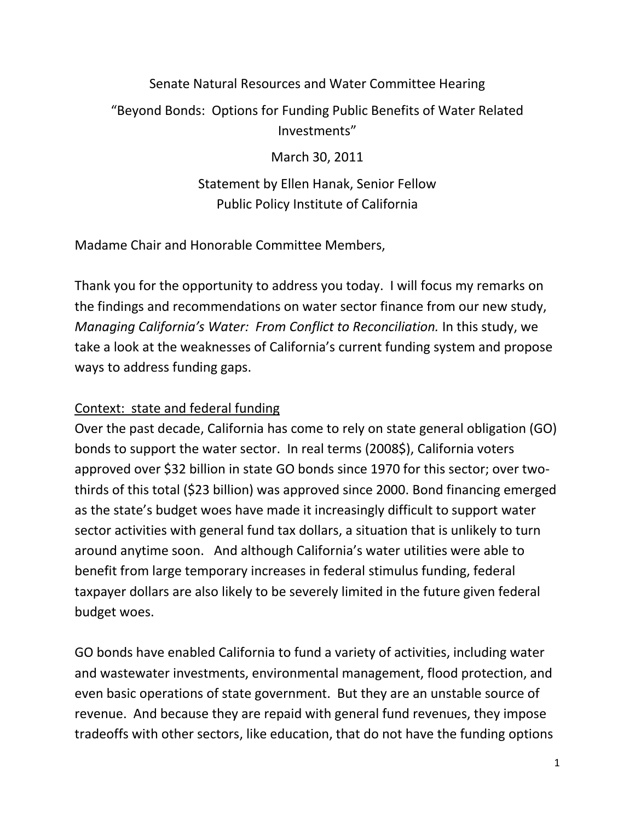## Senate Natural Resources and Water Committee Hearing "Beyond Bonds: Options for Funding Public Benefits of Water Related Investments"

March 30, 2011

Statement by Ellen Hanak, Senior Fellow Public Policy Institute of California

Madame Chair and Honorable Committee Members,

Thank you for the opportunity to address you today. I will focus my remarks on the findings and recommendations on water sector finance from our new study, *Managing California's Water: From Conflict to Reconciliation.* In this study, we take a look at the weaknesses of California's current funding system and propose ways to address funding gaps.

## Context: state and federal funding

Over the past decade, California has come to rely on state general obligation (GO) bonds to support the water sector. In real terms (2008\$), California voters approved over \$32 billion in state GO bonds since 1970 for this sector; over twothirds of this total (\$23 billion) was approved since 2000. Bond financing emerged as the state's budget woes have made it increasingly difficult to support water sector activities with general fund tax dollars, a situation that is unlikely to turn around anytime soon. And although California's water utilities were able to benefit from large temporary increases in federal stimulus funding, federal taxpayer dollars are also likely to be severely limited in the future given federal budget woes.

GO bonds have enabled California to fund a variety of activities, including water and wastewater investments, environmental management, flood protection, and even basic operations of state government. But they are an unstable source of revenue. And because they are repaid with general fund revenues, they impose tradeoffs with other sectors, like education, that do not have the funding options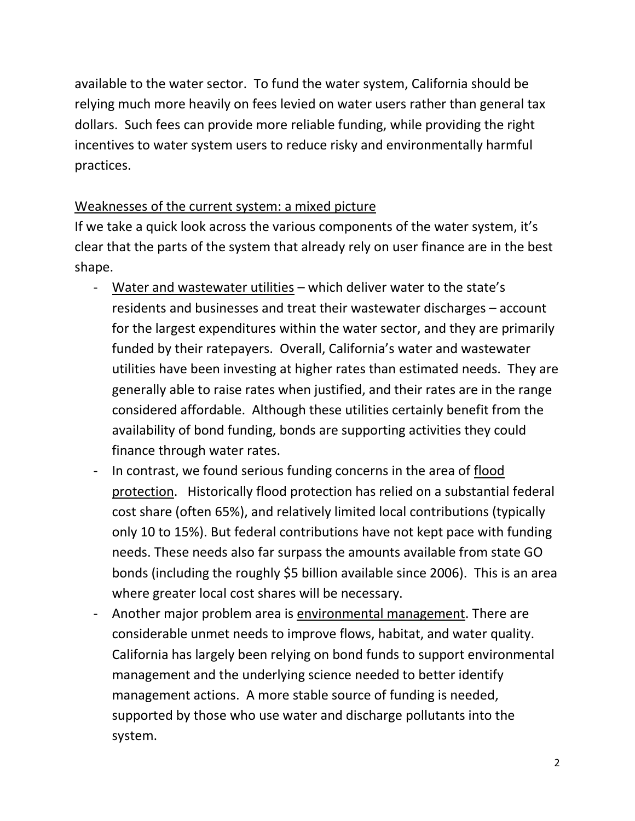available to the water sector. To fund the water system, California should be relying much more heavily on fees levied on water users rather than general tax dollars. Such fees can provide more reliable funding, while providing the right incentives to water system users to reduce risky and environmentally harmful practices.

## Weaknesses of the current system: a mixed picture

If we take a quick look across the various components of the water system, it's clear that the parts of the system that already rely on user finance are in the best shape.

- Water and wastewater utilities which deliver water to the state's residents and businesses and treat their wastewater discharges – account for the largest expenditures within the water sector, and they are primarily funded by their ratepayers. Overall, California's water and wastewater utilities have been investing at higher rates than estimated needs. They are generally able to raise rates when justified, and their rates are in the range considered affordable. Although these utilities certainly benefit from the availability of bond funding, bonds are supporting activities they could finance through water rates.
- In contrast, we found serious funding concerns in the area of flood protection. Historically flood protection has relied on a substantial federal cost share (often 65%), and relatively limited local contributions (typically only 10 to 15%). But federal contributions have not kept pace with funding needs. These needs also far surpass the amounts available from state GO bonds (including the roughly \$5 billion available since 2006). This is an area where greater local cost shares will be necessary.
- Another major problem area is environmental management. There are considerable unmet needs to improve flows, habitat, and water quality. California has largely been relying on bond funds to support environmental management and the underlying science needed to better identify management actions. A more stable source of funding is needed, supported by those who use water and discharge pollutants into the system.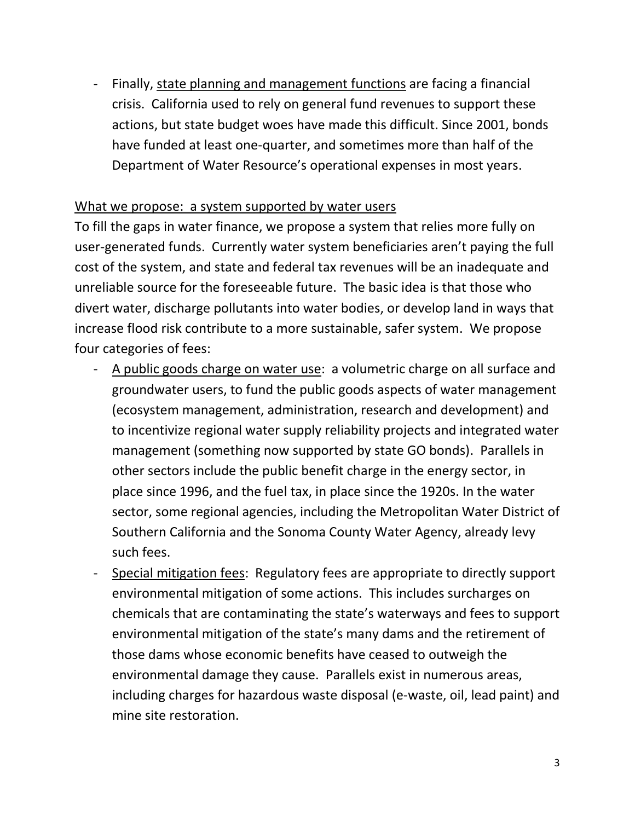- Finally, state planning and management functions are facing a financial crisis. California used to rely on general fund revenues to support these actions, but state budget woes have made this difficult. Since 2001, bonds have funded at least one-quarter, and sometimes more than half of the Department of Water Resource's operational expenses in most years.

## What we propose: a system supported by water users

To fill the gaps in water finance, we propose a system that relies more fully on user-generated funds. Currently water system beneficiaries aren't paying the full cost of the system, and state and federal tax revenues will be an inadequate and unreliable source for the foreseeable future. The basic idea is that those who divert water, discharge pollutants into water bodies, or develop land in ways that increase flood risk contribute to a more sustainable, safer system. We propose four categories of fees:

- A public goods charge on water use: a volumetric charge on all surface and groundwater users, to fund the public goods aspects of water management (ecosystem management, administration, research and development) and to incentivize regional water supply reliability projects and integrated water management (something now supported by state GO bonds). Parallels in other sectors include the public benefit charge in the energy sector, in place since 1996, and the fuel tax, in place since the 1920s. In the water sector, some regional agencies, including the Metropolitan Water District of Southern California and the Sonoma County Water Agency, already levy such fees.
- Special mitigation fees: Regulatory fees are appropriate to directly support environmental mitigation of some actions. This includes surcharges on chemicals that are contaminating the state's waterways and fees to support environmental mitigation of the state's many dams and the retirement of those dams whose economic benefits have ceased to outweigh the environmental damage they cause. Parallels exist in numerous areas, including charges for hazardous waste disposal (e-waste, oil, lead paint) and mine site restoration.